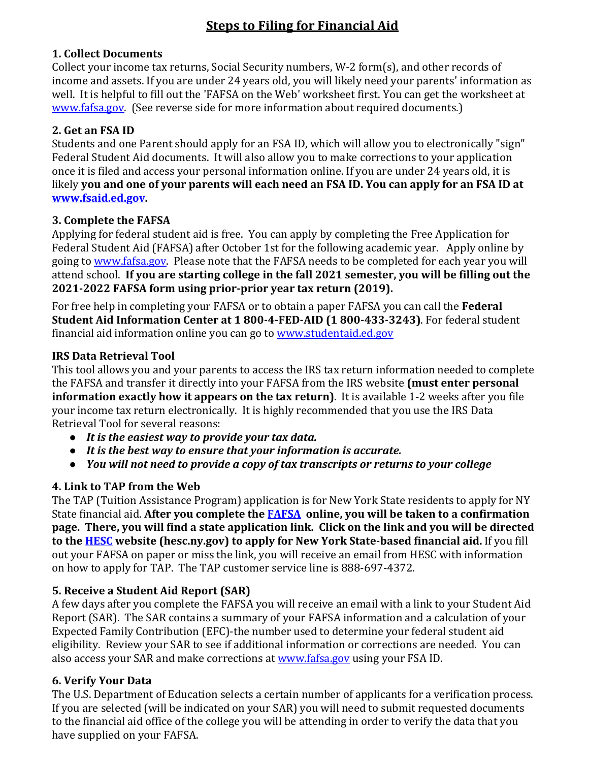# **Steps to Filing for Financial Aid**

## **1. Collect Documents**

Collect your income tax returns, Social Security numbers, W-2 form(s), and other records of income and assets. If you are under 24 years old, you will likely need your parents' information as well. It is helpful to fill out the 'FAFSA on the Web' worksheet first. You can get the worksheet at www.fafsa.gov. (See reverse side for more information about required documents.)

## **2. Get an FSA ID**

Students and one Parent should apply for an FSA ID, which will allow you to electronically "sign" Federal Student Aid documents. It will also allow you to make corrections to your application once it is filed and access your personal information online. If you are under 24 years old, it is likely **you and one of your parents will each need an FSA ID. You can apply for an FSA ID at www.fsaid.ed.gov.** 

#### **3. Complete the FAFSA**

Applying for federal student aid is free. You can apply by completing the Free Application for Federal Student Aid (FAFSA) after October 1st for the following academic year. Apply online by going to www.fafsa.gov. Please note that the FAFSA needs to be completed for each year you will attend school. **If you are starting college in the fall 2021 semester, you will be filling out the 2021-2022 FAFSA form using prior-prior year tax return (2019).**

For free help in completing your FAFSA or to obtain a paper FAFSA you can call the **Federal Student Aid Information Center at 1 800-4-FED-AID (1 800-433-3243)**. For federal student financial aid information online you can go to www.studentaid.ed.gov

#### **IRS Data Retrieval Tool**

This tool allows you and your parents to access the IRS tax return information needed to complete the FAFSA and transfer it directly into your FAFSA from the IRS website **(must enter personal information exactly how it appears on the tax return)**. It is available 1-2 weeks after you file your income tax return electronically. It is highly recommended that you use the IRS Data Retrieval Tool for several reasons:

- *It is the easiest way to provide your tax data.*
- *It is the best way to ensure that your information is accurate.*
- *You will not need to provide a copy of tax transcripts or returns to your college*

# **4. Link to TAP from the Web**

The TAP (Tuition Assistance Program) application is for New York State residents to apply for NY State financial aid. **After you complete the FAFSA online, you will be taken to a confirmation page. There, you will find a state application link. Click on the link and you will be directed to the HESC website (hesc.ny.gov) to apply for New York State-based financial aid.** If you fill out your FAFSA on paper or miss the link, you will receive an email from HESC with information on how to apply for TAP. The TAP customer service line is 888-697-4372.

# **5. Receive a Student Aid Report (SAR)**

A few days after you complete the FAFSA you will receive an email with a link to your Student Aid Report (SAR). The SAR contains a summary of your FAFSA information and a calculation of your Expected Family Contribution (EFC)-the number used to determine your federal student aid eligibility. Review your SAR to see if additional information or corrections are needed. You can also access your SAR and make corrections at www.fafsa.gov using your FSA ID.

# **6. Verify Your Data**

The U.S. Department of Education selects a certain number of applicants for a verification process. If you are selected (will be indicated on your SAR) you will need to submit requested documents to the financial aid office of the college you will be attending in order to verify the data that you have supplied on your FAFSA.